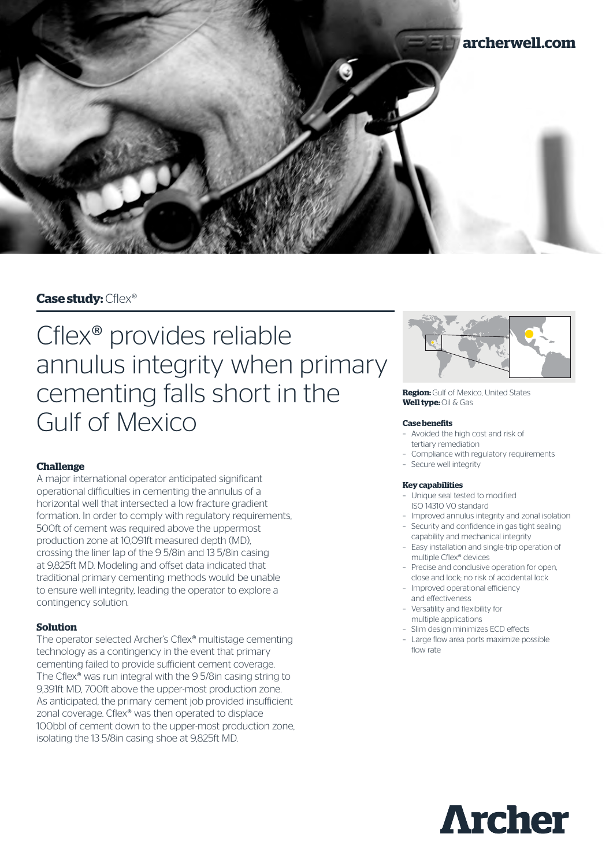

## **Case study:** Cflex®

# Cflex® provides reliable annulus integrity when primary cementing falls short in the Gulf of Mexico

## **Challenge**

A major international operator anticipated significant operational difficulties in cementing the annulus of a horizontal well that intersected a low fracture gradient formation. In order to comply with regulatory requirements, 500ft of cement was required above the uppermost production zone at 10,091ft measured depth (MD), crossing the liner lap of the 9 5/8in and 13 5/8in casing at 9,825ft MD. Modeling and offset data indicated that traditional primary cementing methods would be unable to ensure well integrity, leading the operator to explore a contingency solution.

## **Solution**

The operator selected Archer's Cflex® multistage cementing technology as a contingency in the event that primary cementing failed to provide sufficient cement coverage. The Cflex® was run integral with the 9 5/8in casing string to 9,391ft MD, 700ft above the upper-most production zone. As anticipated, the primary cement job provided insufficient zonal coverage. Cflex® was then operated to displace 100bbl of cement down to the upper-most production zone, isolating the 13 5/8in casing shoe at 9,825ft MD.



**Region:** Gulf of Mexico, United States **Well type:** Oil & Gas

### **Case benefits**

- Avoided the high cost and risk of tertiary remediation
- Compliance with regulatory requirements
- Secure well integrity

### **Key capabilities**

- Unique seal tested to modified ISO 14310 V0 standard
- Improved annulus integrity and zonal isolation – Security and confidence in gas tight sealing
- capability and mechanical integrity
- Easy installation and single-trip operation of multiple Cflex® devices
- Precise and conclusive operation for open, close and lock; no risk of accidental lock
- Improved operational efficiency
- and effectiveness
- Versatility and flexibility for multiple applications
- Slim design minimizes ECD effects
- Large flow area ports maximize possible flow rate